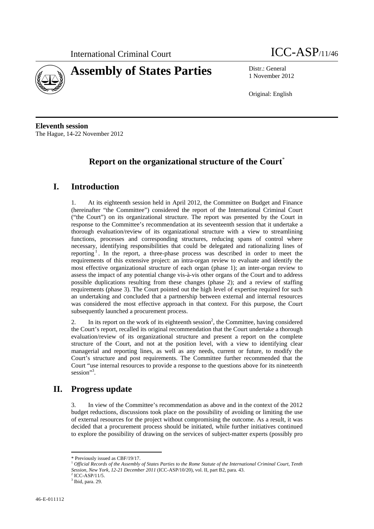



1 November 2012

Original: English

**Eleventh session**  The Hague, 14-22 November 2012

## **Report on the organizational structure of the Court**\*

## **I. Introduction**

1. At its eighteenth session held in April 2012, the Committee on Budget and Finance (hereinafter "the Committee") considered the report of the International Criminal Court ("the Court") on its organizational structure. The report was presented by the Court in response to the Committee's recommendation at its seventeenth session that it undertake a thorough evaluation/review of its organizational structure with a view to streamlining functions, processes and corresponding structures, reducing spans of control where necessary, identifying responsibilities that could be delegated and rationalizing lines of reporting  $\frac{1}{1}$ . In the report, a three-phase process was described in order to meet the requirements of this extensive project: an intra-organ review to evaluate and identify the most effective organizational structure of each organ (phase 1); an inter-organ review to assess the impact of any potential change vis-à-vis other organs of the Court and to address possible duplications resulting from these changes (phase 2); and a review of staffing requirements (phase 3). The Court pointed out the high level of expertise required for such an undertaking and concluded that a partnership between external and internal resources was considered the most effective approach in that context. For this purpose, the Court subsequently launched a procurement process.

2. In its report on the work of its eighteenth session<sup>2</sup>, the Committee, having considered the Court's report, recalled its original recommendation that the Court undertake a thorough evaluation/review of its organizational structure and present a report on the complete structure of the Court, and not at the position level, with a view to identifying clear managerial and reporting lines, as well as any needs, current or future, to modify the Court's structure and post requirements. The Committee further recommended that the Court "use internal resources to provide a response to the questions above for its nineteenth session"<sup>3</sup>.

## **II. Progress update**

In view of the Committee's recommendation as above and in the context of the 2012 budget reductions, discussions took place on the possibility of avoiding or limiting the use of external resources for the project without compromising the outcome. As a result, it was decided that a procurement process should be initiated, while further initiatives continued to explore the possibility of drawing on the services of subject-matter experts (possibly pro

 $2$  ICC-ASP/11/5.

<sup>\*</sup> Previously issued as CBF/19/17.

<sup>1</sup> *Official Records of the Assembly of States Parties to the Rome Statute of the International Criminal Court, Tenth Session, New York, 12-21 December 2011* (ICC-ASP/10/20), vol. II, part B2, para. 43. 2

 $3$  Ibid, para. 29.